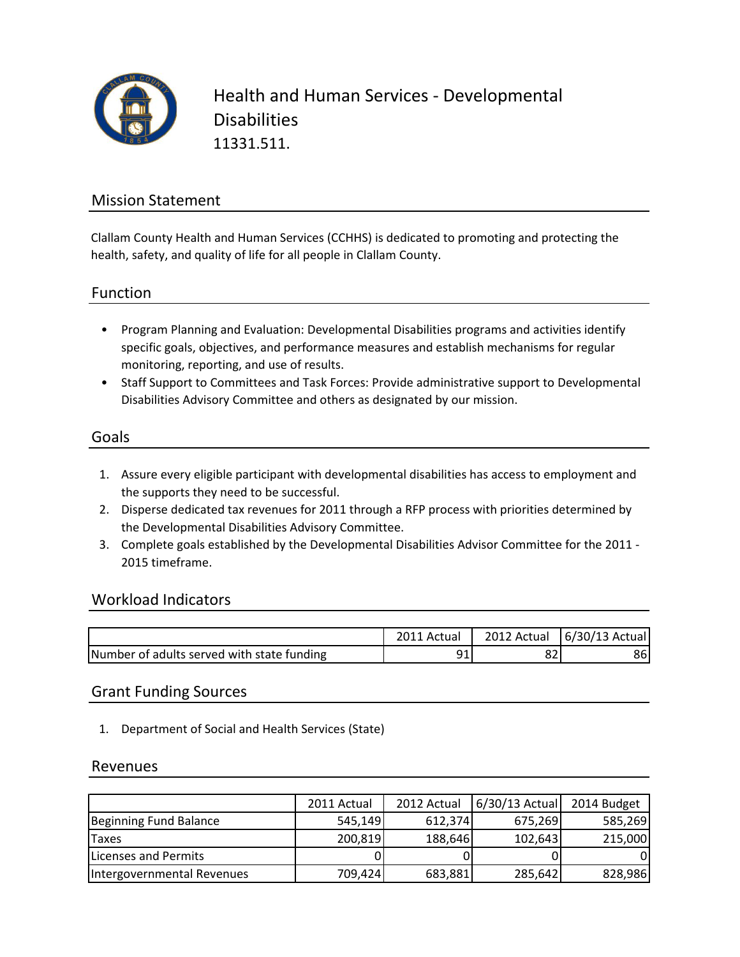

Health and Human Services - Developmental **Disabilities** 11331.511.

## Mission Statement

Clallam County Health and Human Services (CCHHS) is dedicated to promoting and protecting the health, safety, and quality of life for all people in Clallam County.

### Function

- Program Planning and Evaluation: Developmental Disabilities programs and activities identify specific goals, objectives, and performance measures and establish mechanisms for regular monitoring, reporting, and use of results.
- Staff Support to Committees and Task Forces: Provide administrative support to Developmental Disabilities Advisory Committee and others as designated by our mission.

#### Goals

- 1. Assure every eligible participant with developmental disabilities has access to employment and the supports they need to be successful.
- 2. Disperse dedicated tax revenues for 2011 through a RFP process with priorities determined by the Developmental Disabilities Advisory Committee.
- 3. Complete goals established by the Developmental Disabilities Advisor Committee for the 2011 2015 timeframe.

#### Workload Indicators

|                                            | Actual | 2012 Actual | 6/30/13 Actual |
|--------------------------------------------|--------|-------------|----------------|
| Number of adults served with state funding |        | ٥z          | 86             |

#### Grant Funding Sources

1. Department of Social and Health Services (State)

#### Revenues

|                            | 2011 Actual | 2012 Actual | $6/30/13$ Actual | 2014 Budget |
|----------------------------|-------------|-------------|------------------|-------------|
| Beginning Fund Balance     | 545,149     | 612,374     | 675,269          | 585,269     |
| <b>Taxes</b>               | 200,819     | 188,646     | 102,643          | 215,000     |
| Licenses and Permits       |             |             |                  | 01          |
| Intergovernmental Revenues | 709,424     | 683,881     | 285,642          | 828,986     |